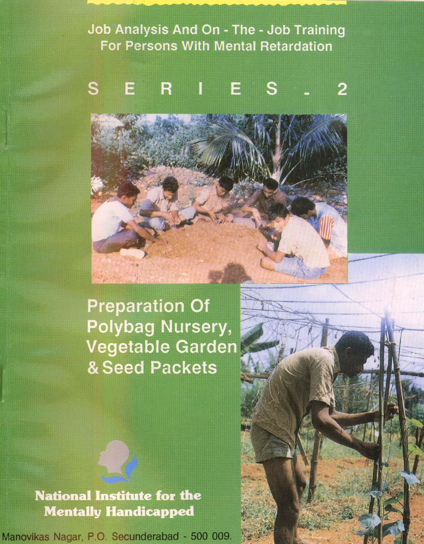**Job Analysis And On - The - Job Training For Persons With Mental Retardation** 

#### R S E E S  $\mathbf 2$

# **Preparation Of** Polybag Nursery, **Vegetable Garden** & Seed Packets

AN TEST

# **National Institute for the Mentally Handicapped**

Manovikas Nagar, P.O. Secunderabad - 500 009.

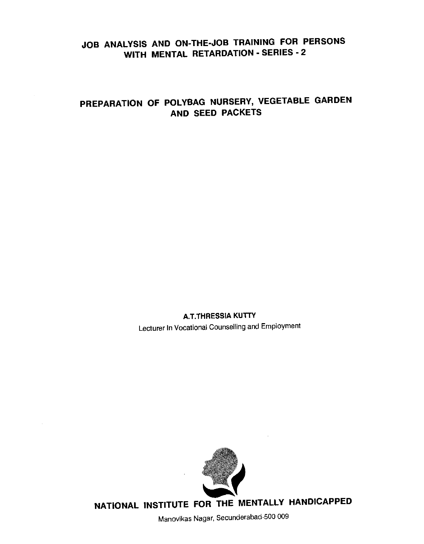# JOB ANALYSIS AND ON-THE-JOB TRAINING FOR PERSONS WITH MENTAL RETARDATION - SERIES -2

# PREPARATION OF POLYBAG NURSERY, VEGETABLE GARDEN AND SEED PACKETS

**A.T.THRESSIA KUTTY** Lecturer In Vocational Counselling and Employment



NATIONAL INSTITUTE FOR THE MENTALLY HANDICAPPED

Manovikas Nagar, Secunderabad-500 009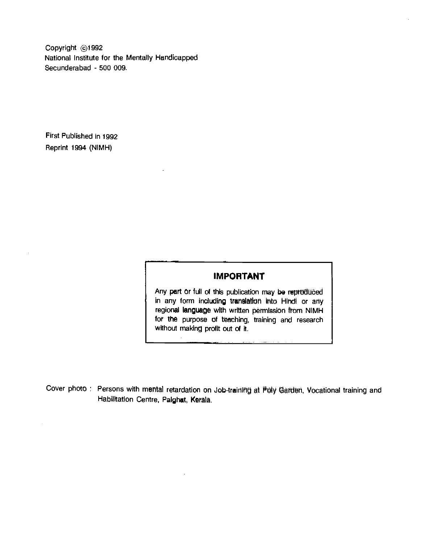Copyright @1992 National Institute for the Mentally Handicapped Secunderabad - 500 009.

First Published in 1992 Reprint 1994 (NIMH)

## IMPORTANT

Any part or full of this publication may be repreduced in any form including translation Into Hindi or any regional language with written permission from NIMH for the purpose of teaching, training and research without making profit out of it.

Cover photo : Persons with mental retardation on Job-training at Poly Garden, Vocational training and Habilitatlon Centre, Paighat, Kerala.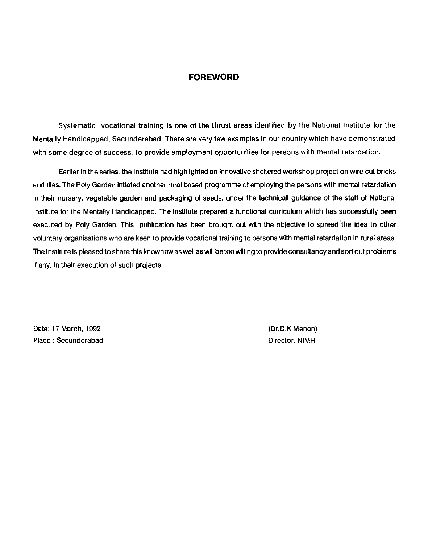#### FOREWORD

Systematic vocational training is one of the thrust areas identified by the National Institute for the Mentally Handicapped, Secunderabad. There are very few examples in our country which have demonstrated with some degree of success, to provide employment opportunities for persons with mental retardation.

Earlier in the series, the Institute had highlighted an innovative sheltered workshop project on wire cut bricks and tiles. The Poly Garden intiated another rural based programme of employing the persons with mental retardation in their nursery, vegetable garden and packaging of seeds, under the technicall guidance of the staff of National Institute for the Mentally Handicapped. The Institute prepared a functional curriculum which has successfully been executed by Poly Garden. This publication has been brought out with the objective to spread the idea to other voluntary organisations who are keen to provide vocational training to persons with mental retardation in rural areas. The Institute is pleased to share this knowhow as well as will be too willing to provide consultancy and sort out problems if any, in their execution of such projects.

Date: 17 March, 1992 **(Dr.D.K.Menon)** Place : Secunderabad Director. NIMH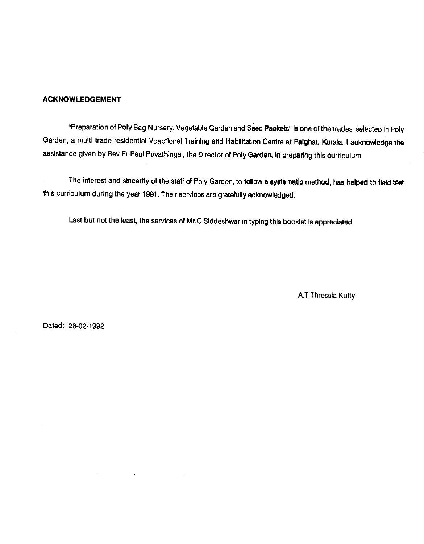#### ACKNOWLEDGEMENT

"Preparation of Poly Bag Nursery, Vegetable Garden and Seed Packets" is one of the trades selected in Poly Garden, a multi trade residential Voactional Training and Habliltatlon Centre at Paighat, Kerals. I acknowledge the assistance given by Rev.Fr.Paul Puvathingal, the Director of Poly Garden, in preparing this curriculum.

The interest and sincerity of the staff of Poly Garden, to follow a systematic method, has helped to field test this curriculum during the year 1991. Their services are gratefully acknowledged.

Last but not the least, the services of Mr.C.Siddeshwar in typing this booklet is appreciated.

A.T.Thressia Kutty

Dated: 28-02-1992

 $\ddot{\phantom{a}}$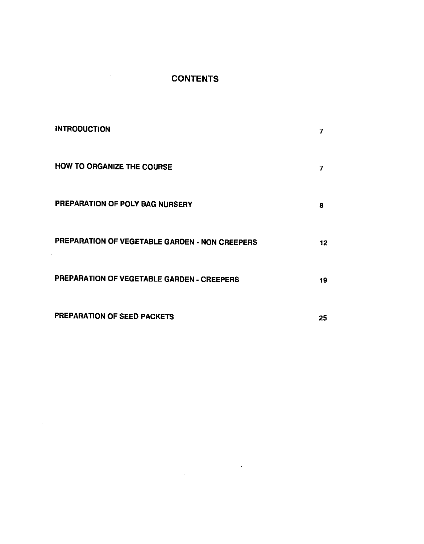# CONTENTS

 $\sim 10^{11}$  km  $^{-1}$ 

÷,

| <b>INTRODUCTION</b>                            | 7  |
|------------------------------------------------|----|
| HOW TO ORGANIZE THE COURSE                     | 7  |
| PREPARATION OF POLY BAG NURSERY                | 8  |
| PREPARATION OF VEGETABLE GARDEN - NON CREEPERS | 12 |
| PREPARATION OF VEGETABLE GARDEN - CREEPERS     | 19 |
| PREPARATION OF SEED PACKETS                    | 25 |

 $\label{eq:2.1} \frac{1}{\sqrt{2}}\int_{\mathbb{R}^3} \frac{1}{\sqrt{2}}\left(\frac{1}{\sqrt{2}}\right)^2\frac{1}{\sqrt{2}}\left(\frac{1}{\sqrt{2}}\right)^2\frac{1}{\sqrt{2}}\left(\frac{1}{\sqrt{2}}\right)^2.$ 

 $\sim 10^{-11}$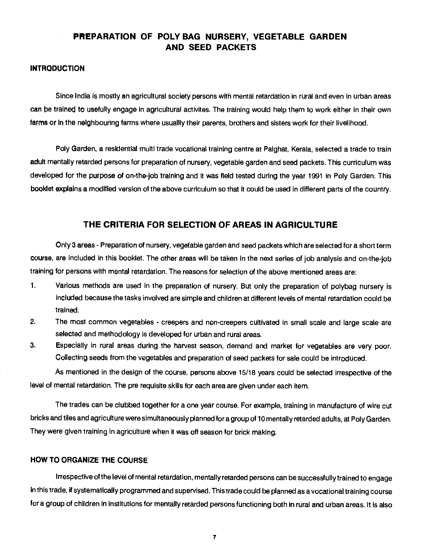# PREPARATION OF POLY BAG NURSERY, VEGETABLE GARDEN AND SEED PACKETS

#### <span id="page-6-0"></span>INTRODUCTION

Since India is mostly an agricultural society persons with mental retardation in rural and even in urban areas can be traIned to usefully engage in agricultural activites. The training would help them to work either in their own farms or in the neighbouring farms where usuallly their parents, brothers and sisters work for their livelihood.

Poly Garden, a residential multi trade vocational training centre at Palghat, Kerala, selected a trade to train adult mentally retarded persons for preparation of nursery, vegetable garden and seed packets. This curriculum was developed for the purpose of on-the-job traIning and it was field tested during the year 1991 in Poly Garden. This booklet explains a modified version of the above curriculum so that it could be used in different parts of the country.

#### THE CRITERIA FOR SELECTION OF AREAS IN AGRICULTURE

Only 3 areas - Preparation of nursery, vegefable garden and seed packets which are selected for a short term course, are Included in this booklet. The other areas will be taken in the next series of job analysis and on-the-job training for persons with mental retardation. The reasons for selection of the above mentioned areas are:

- 1, Various methods are used in the preparation of nursery. But only the preparation of polybag nursery is included because the tasks involved are simple and children at different levels of mental retardation could be trained.
- 2. The most common vegetables creepers and non-creepers cultivated in small scale and large scale are selected and methodology is developed for urban and rural areas.
- 3. Especially in rural areas during the harvest season, demand and market for vegetables are very poor. Collecting seeds from the vegetables and preparation of seed packets for sale could be introduced.

As mentioned in the design of the course, persons above 15/18 years could be selected irrespective of the level of mental retardation. The pre requisite skills for each area are given under each item.

The trades can be clubbed together for a one year course. For example, training in manufacture of wire cut bricks and tiles and agriculturewere simultaneously planned for a group of 10 mentally retarded adults, at Poiy Garden. They were given training in agriculture when it was off season for brick making.

#### 110W TO ORGANIZE THE COURSE

Irrespective of the level of mental retardation, mentally retarded persons can be successfully trained to engage in this trade, if systematically programmed and supervised. This trade could be planned as a vocational training course for a group of children in institutions for mentally retarded persons functioning both in rural and urban areas. it is also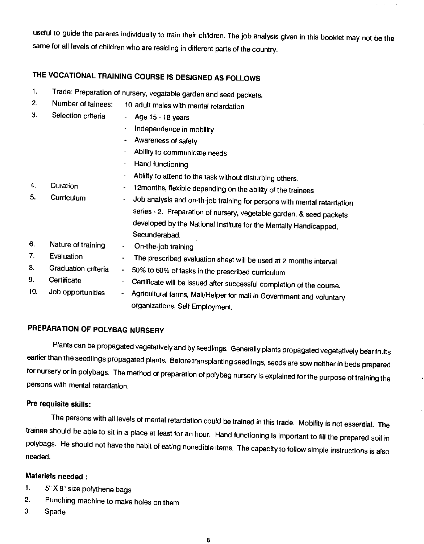<span id="page-7-0"></span>useful to guide the parents individually to train their children. The job analysis given in this booklet may not be the same for all levels of children who are residing in different parts of the country.

# THE VOCATIONAL TRAINING COURSE IS DESIGNED AS FOLLOWS

- 1. Trade: Preparation of nursery, vegatable garden and seed packets.<br>2. Number of tainees: 10 adult males with montal retardation.
- 2. Number of tainees: 10 adult males with mental retardation
- 3. Selection criteria Age 15 18 years
	- Independence in mobility
	- Awareness of safety
	- Ability to communicate needs
	- Hand functioning
	- Ability to attend to the task without disturbing others.
- 4. Duration l2months, flexible depending on the ability of the trainees
- 5. Curriculum Job analysis and on-th-job training for persons with mental retardation series - 2. Preparation of nursery, vegetable garden, & seed packets developed by the National Institute for the Mentally Handicapped, Secunderabad
- 6. Nature of training On-the-job training<br>7. Evaluation The prescribed ave
- 7. Evaluation  $\sim$  The prescribed evaluation sheet will be used at 2 months interval 8.
- Graduation criteria 50% to 60% of tasks in the prescribed curriculum
- 9. Certificate Certificate will be issued after successful completion of the course.<br>10. Job opportunities Agricultural farms Mali/Helper for mali in Covernment and unlist
- Agricultural farms, Mali/Helper for mali in Government and voluntary organizations, Self Employment.

# PREPARATION OF POLYBAG NURSERY

Plants can be propagated vegetatively and by seedlings. Generally plants propagated vegetatively bear fruits earlier than the seedlings propagated plants. Before transplanting seedlings, seeds are sow neither in beds prepared for nursery or in polybags. The method of preparation of polybag nursery is explained for the purpose of training the persons with mental retardation.

#### Pre requisite skills:

The persons with all levels of mental retardation could be trained in this trade. Mobility is not essential. The trainee should be able to sit in a place at least for an hour. Hand functioning is important to fill the prepared soil in polybags. He should not have the habit of eating nonedible items. The capacity to follow simple instructions is also needed.

## Materials needed

- 1. 5" X 8" size polythene bags
- 2. Punching machine to make holes on them
- 3. Spade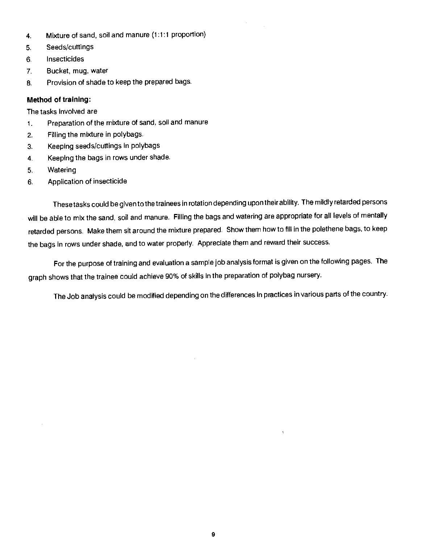- 4. Mixture of sand, soil and manure (1:1:1 proportion)
- 5. Seeds/cuttings
- 6. Insecticides
- 7, Bucket, mug, water
- 8. Provision of shade to keep the prepared bags.

#### Method of training:

#### The tasks involved are

- 1. Preparation of the mixture of sand, soil and manure
- 2. Filling the mixture in polybags.
- 3. Keeping seeds/cuttings in polybags
- 4. Keeping the bags in rows under shade.
- 5. Watering
- 6. Application of insecticide

These tasks could be given to the trainees in rotation depending upon theirability. The mildly retarded persons will be able to mix the sand, soil and manure. Filling the bags and watering are appropriate for all levels of mentally retarded persons. Make them sit around the mixture prepared. Show them how to fill in the polethene bags, to keep the bags in rows under shade, and to water properly. Appreciate them and reward their success.

 $\sim$ 

For the purpose of training and evaluation a sample job analysis format is given on the following pages. The graph shows that the trainee could achieve 90% of skills in the preparation of polybag nursery.

The Job analysis could be modified depending on the differences in practices in various parts of the country.

 $\bar{1}$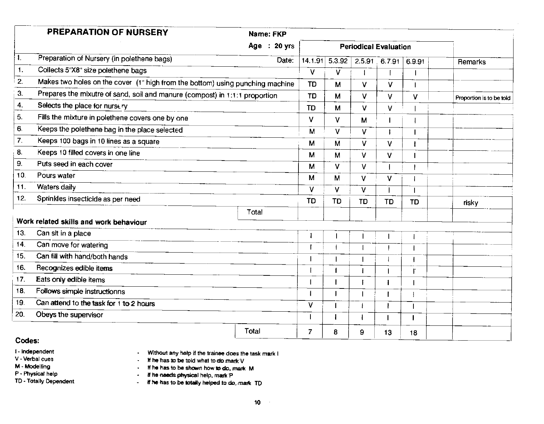| PREPARATION OF NURSERY                                                        | Name: FKP    |                                         |                                                                             |                          |
|-------------------------------------------------------------------------------|--------------|-----------------------------------------|-----------------------------------------------------------------------------|--------------------------|
|                                                                               | Age : 20 yrs |                                         | <b>Periodical Evaluation</b>                                                |                          |
| Preparation of Nursery (in polethene bags)                                    |              |                                         | Date: 14.1.91 5.3.92 2.5.91 6.7.91 6.9.91                                   |                          |
| Collects 5"X8" size polethene bags                                            |              |                                         | V.                                                                          | Remarks                  |
| Makes two holes on the cover (1" high from the bottom) using punching machine |              | TD.                                     |                                                                             |                          |
| Prepares the mixutre of sand, soil and manure (compost) in 1:1:1 proportion   |              | TD                                      | - 64                                                                        |                          |
| Selects the place for nurse ry                                                |              | $\sim$ $\sim$ $\sim$ $\sim$<br>$TD$   M | —————<br>$\mathsf{V}$<br>$\mathbf{V}$                                       | Proportion is to be told |
| Fills the mixture in polethene covers one by one                              |              | $\mathcal{M}$                           | $\overline{u}$<br>M                                                         |                          |
| Keeps the polethene bag in the place selected                                 |              |                                         |                                                                             |                          |
| Keeps 100 bags in 10 lines as a square                                        |              | $M \mid M \mid$                         | ∴V.                                                                         |                          |
| Keeps 10 filled covers in one line                                            |              |                                         | <del>- - + - - + - + - - + - - + - - - + - - - -</del>                      |                          |
| Puts seed in each cover                                                       |              | <b>M</b>                                | <b>V</b>                                                                    |                          |
| 10. Pours water                                                               |              | $M \mid M$                              |                                                                             |                          |
| Waters daily<br>11                                                            |              |                                         |                                                                             |                          |
| 12. Sprinkles insecticide as per need                                         |              | TD <b>TD</b>                            | $\mathbf{F} = \mathbf{F} \mathbf{D} + \mathbf{F}$<br>$\top$ or $\top$<br>TD | risky                    |
|                                                                               | Total        | ————                                    |                                                                             |                          |
| Work related skills and work behaviour                                        |              |                                         |                                                                             |                          |
| 13. Can sit in a place                                                        |              |                                         |                                                                             |                          |
| Can move for watering                                                         |              |                                         |                                                                             |                          |
| Can fill with hand/both hands                                                 |              |                                         |                                                                             |                          |
| 16. Recognizes edible items                                                   |              |                                         |                                                                             |                          |
| 17. Eats only edible items                                                    |              |                                         |                                                                             |                          |
| 18. Follows simple instructionns                                              |              |                                         | —— <del>—————</del> ——                                                      |                          |
| Can attend to the task for 1 to 2 hours<br>19.                                |              |                                         |                                                                             |                          |
| Obeys the supervisor<br>20.                                                   |              |                                         |                                                                             |                          |
|                                                                               | Total        |                                         | 13<br>$\overline{18}$                                                       |                          |

### Codes:

- Independent

V - Verbal cues

M - Modelling

P - Physical help

TD - Totally Dependent

- Without any help if the trainee does the task mark I<br>- If he has to be told what to do mark  $\vee$ 

- if he has to be shown how to do, mark M

- If he needs physical help, mark P

- If he needs physical help, mark P<br>- If he has to be totally helped to do, mark TD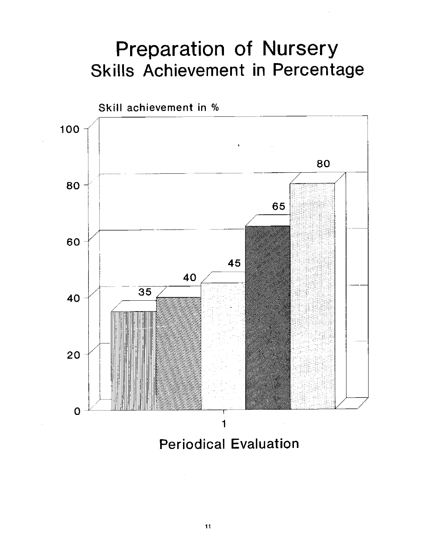# Preparation of Nursery<br>Skills Achievement in Percentage



Periodical Evaluation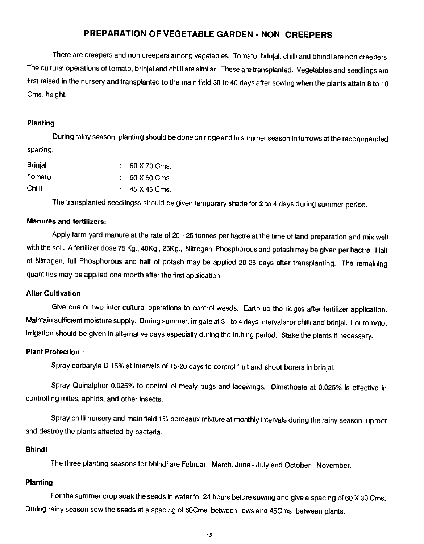# PREPARATION OF VEGETABLE GARDEN - NON CREEPERS

<span id="page-11-0"></span>There are creepers and non creepers among vegetables. Tomato, brinjal, chilli and bhindi are noncreepers. The cultural operations of tomato, brinjal and chilli are similar. These are transplanted. Vegetables and seedlings are first raised in the nursery and transplanted to the main field 30 to 40 days after sowing when the plants attain 8 to 10 Cms. height.

#### Planting

During rainy season, planting should be done on ridge and in summer season in furrows at the recommended spacing.

| <b>Brinial</b> | $.60$ X 70 Cms. |
|----------------|-----------------|
| Tomato         | $60X60$ Cms.    |
| <b>Chilli</b>  | 45 X 45 Cms.    |

The transplanted seedlingss should be given temporary shade for 2 to 4 days during summer period.

#### Manures and fertilizers:

Apply farm yard manure at the rate of 20 - 25 tonnes per hactre at the time of land preparation and mix well with the soil. A fertilizer dose 75 Kg., 40Kg., 25Kg., Nitrogen, Phosphorous and potashmay be given per hactre. Half of Nitrogen, full Phosphorous and half of potash may be applied 20-25 days after transplanting. The remaining quantities may be applied one month after the first application.

#### After Cultivation

Give one or two inter cultural operations to control weeds. Earth up the ridges after fertilizer application. Maintain sufficient moisture supply. During summer, irrigate at 3 to 4 days intervals for chilli and brinjal. For tomato, irrigation should be given in alternative days especially during the fruiting period. Stake the plants if necessary.

#### Plant Protection:

Spray carbaryle D 15% at intervals of 15-20 days to control fruit and shoot borers in brinjal.

Spray Quinalphor 0.025% fo control of mealy bugs and lacewings. Dimethoate at 0.025% is effective in controlling mites, aphids, and other insects.

Spray chilli nursery and main field 1% bordeaux mixture at monthly intervals during the rainy season, uproot and destroy the plants affected by bacteria.

#### Bhindi

The three planting seasons for bhindi are Februar - March, June - July and October - November.

#### Planting

For the summer crop soak the seeds in water for 24 hours before sowing and give a spacing of 60 X 30 Cms. During rainy season sow the seeds at a spacing of 6OCms. between rows and 45Cms. between plants.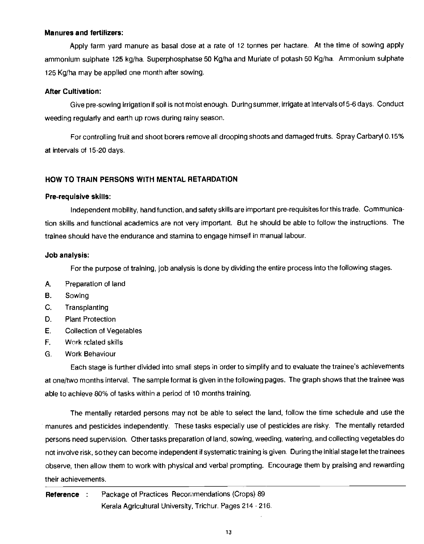#### Manures and fertilizers:

Apply farm yard manure as basal dose at a rate of 12 tonnes per hactare. At the time of sowing apply ammonium sulphate 125 kg/ha. Superphosphatse 50 Kg/ha and Muriate of potash 50 Kg/ha. Ammonium sulphate 125 Kg/ha may be applied one month after sowing.

#### After Cultivation:

Give pre-sowing irrigation if soil is not moist enough. During summer, Irrigate at intervals of 5-6 days. Conduct weeding regularly and earth up rows during rainy season.

For controlling fruit and shoot borers remove all drooping shoots and damaged fruits. Spray Carbaryl 0.15% at intervals of 15-20 days.

#### HOW TO TRAIN PERSONS WITH MENTAL RETARDATION

#### Pre-requisive skills:

Independent mobility, hand function, and safety skills are important pre-requisites for this trade. Communication skills and functional academics are not very important. But he should be able to follow the instructions. The trainee should have the endurance and stamina to engage himself in manual labour.

#### Job analysis:

For the purpose of training, job analysis is done by dividing the entire process into the following stages.

- A. Preparation of land
- B. Sowing
- C. Transplanting
- D. Plant Protection
- E. Collection of Vegetables
- F. Work related skills
- G. Work Behaviour

Each stage is further divided into small steps in order to simplify and to evaluate the trainee's achievements at one/two months interval. The sample format is given in the following pages. The graph shows that the trainee was able to achieve 80% of tasks within a period of 10 months training.

The mentally retarded persons may not be able to select the land, follow the time schedule and use the manures and pesticides independently. These tasks especially use of pesticides are risky. The mentally retarded persons need supervision. Other tasks preparation of land, sowing, weeding, watering, and collecting vegetables do not involve risk, so they can become independent if systematic training is given. During the initial stage let the trainees observe, then allow them to work with physical and verbal prompting. Encourage them by praising and rewarding their achievements.

Reference : Package of Practices Recommendations (Crops) 89 Kerala Agricultural University, Trichur. Pages 214-216.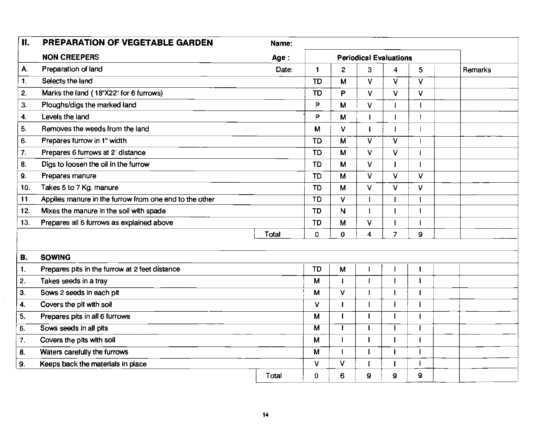| <b>II.</b>     | PREPARATION OF VEGETABLE GARDEN                        | Name: |                         |                |                               |                |              |         |
|----------------|--------------------------------------------------------|-------|-------------------------|----------------|-------------------------------|----------------|--------------|---------|
|                | <b>NON CREEPERS</b>                                    | Age   |                         |                | <b>Periodical Evaluations</b> |                |              |         |
| А.             | Preparation of land                                    | Date: | $\blacksquare$          | $\overline{c}$ | 3                             | 4              | 5            | Remarks |
| $\mathbf{1}$ . | Selects the land                                       |       | <b>TD</b>               | М              | V                             | V              | V            |         |
| 2.             | Marks the land (18"X22" for 6 furrows)                 |       | <b>TD</b>               | P              | $\vee$                        | V              | ٧            |         |
| 3.             | Ploughs/digs the marked land                           |       | P                       | M              | V                             |                |              |         |
| 4.             | Levels the land                                        |       | P                       | M              |                               |                |              |         |
| 5.             | Removes the weeds from the land                        |       | M                       | ٧              |                               |                |              |         |
| 6.             | Prepares furrow in 1" width                            |       | TD                      | M              | v                             | v              |              |         |
| 7.             | Prepares 6 furrows at 2' distance                      |       | <b>TD</b>               | M              | V                             | V              |              |         |
| 8.             | Digs to loosen the oil in the furrow                   |       | <b>TD</b>               | M              | V                             | ı              |              |         |
| 9.             | Prepares manure                                        |       | <b>TD</b>               | M              | v                             | V              | V            |         |
| 10.            | Takes 5 to 7 Kg. manure                                |       | <b>TD</b>               | M              | V                             | V              | V            |         |
| 11.            | Applies manure in the furrow from one end to the other |       | <b>TD</b>               | V              |                               |                |              |         |
| 12.            | Mixes the manure in the soil with spade                |       | <b>TD</b>               | N              |                               |                |              |         |
| 13.            | Prepares all 6 furrows as explained above              |       | <b>TD</b>               | M              | V                             |                |              |         |
|                |                                                        | Total | 0                       | $\mathbf{0}$   | $\overline{\bf{4}}$           | $\overline{7}$ | $\mathbf{9}$ |         |
|                |                                                        |       |                         |                |                               |                |              |         |
| В.             | <b>SOWING</b>                                          |       |                         |                |                               |                |              |         |
| 1.             | Prepares pits in the furrow at 2 feet distance         |       | <b>TD</b>               | M              |                               |                | т            |         |
| 2.             | Takes seeds in a tray                                  |       | M                       |                |                               |                |              |         |
| 3.             | Sows 2 seeds in each pit                               |       | M                       | $\mathsf{V}$   |                               |                | I            |         |
| 4.             | Covers the pit with soil                               |       | ٧                       | П              |                               |                |              |         |
| 5.             | Prepares pits in all 6 furrows                         |       | M                       | $\mathbf I$    |                               | $\mathbf{I}$   |              |         |
| 6.             | Sows seeds in all pits                                 |       | $\overline{\mathsf{M}}$ |                |                               | J.             |              |         |
| 7.             | Covers the pits with soil                              |       | M                       | $\sqrt{2}$     |                               | 1              |              |         |
| 8.             | Waters carefully the furrows                           |       | M                       |                |                               | 1              |              |         |
| 9.             | Keeps back the materials in place                      |       | V                       | V              |                               | $\mathbf{I}$   |              |         |
|                |                                                        | Total | 0                       | 6              | $\overline{9}$                | $\mathbf 9$    | 9            |         |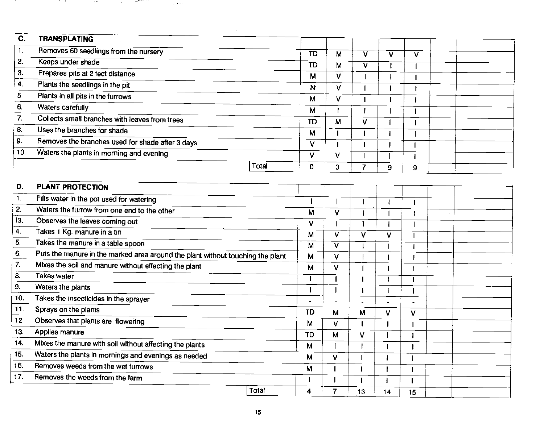| C.                     | <b>TRANSPLATING</b>                                                            |              |                         |                              |                         |                         |                         |  |  |
|------------------------|--------------------------------------------------------------------------------|--------------|-------------------------|------------------------------|-------------------------|-------------------------|-------------------------|--|--|
| 1.                     | Removes 60 seedlings from the nursery                                          |              | $\overline{\text{TD}}$  | $\overline{\mathsf{M}}$      | $\overline{\mathsf{v}}$ | V                       | $\overline{\mathsf{v}}$ |  |  |
| 2.                     | Keeps under shade                                                              |              | TD                      | M                            | $\overline{\mathsf{v}}$ |                         |                         |  |  |
| 3.                     | Prepares pits at 2 feet distance                                               |              | M                       | V                            | 1                       | J                       |                         |  |  |
| 4.                     | Plants the seedlings in the pit                                                |              | N                       | V                            | $\mathbf{I}$            | $\mathbf{I}$            |                         |  |  |
| 5.                     | Plants in all pits in the furrows                                              |              | M                       | V                            | $\mathbf{I}$            | $\blacksquare$          |                         |  |  |
| 6.                     | Waters carefully                                                               |              | M                       |                              | Ŧ                       |                         |                         |  |  |
| 7.                     | Collects small branches with leaves from trees                                 |              | <b>TD</b>               | M                            | ٧                       |                         |                         |  |  |
| 8.                     | Uses the branches for shade                                                    |              | M                       |                              | $\mathbf{I}$            | $\mathbf{I}$            |                         |  |  |
| 9.                     | Removes the branches used for shade after 3 days                               |              | $\overline{\mathsf{v}}$ | $\mathbf{I}$<br>$\mathbf{I}$ |                         |                         |                         |  |  |
| 10.                    | Waters the plants in morning and evening                                       |              | V                       |                              | $\mathbf{I}$            | $\mathbf{I}$            |                         |  |  |
|                        |                                                                                | <b>Total</b> |                         | $\vee$                       | ľ                       |                         |                         |  |  |
|                        |                                                                                |              | $\Omega$                | 3                            | $\overline{7}$          | 9                       | 9                       |  |  |
| D.                     | <b>PLANT PROTECTION</b>                                                        |              |                         |                              |                         |                         |                         |  |  |
| 1.                     |                                                                                |              |                         |                              |                         |                         |                         |  |  |
| $\mathbf{2}$           | Fills water in the pot used for watering                                       |              |                         |                              | t                       |                         |                         |  |  |
| 13.                    | Waters the furrow from one end to the other                                    |              | $\overline{\mathbf{M}}$ | V                            | I                       |                         |                         |  |  |
| $\blacktriangleleft$ . | Observes the leaves coming out                                                 |              | V                       |                              | $\mathbf{I}$            |                         |                         |  |  |
|                        | Takes 1 Kg. manure in a tin                                                    |              | M                       | V                            | V                       | $\overline{\mathsf{v}}$ |                         |  |  |
| 5.                     | Takes the manure in a table spoon                                              |              | $\overline{\mathbf{M}}$ | $\overline{\mathsf{v}}$      | $\mathbf{I}$            |                         |                         |  |  |
| 6.                     | Puts the manure in the marked area around the plant without touching the plant |              | M                       | V                            |                         |                         |                         |  |  |
| $\overline{7}$ .       | Mixes the soil and manure without effecting the plant                          |              | M                       | V                            |                         |                         |                         |  |  |
| 8.                     | Takes water                                                                    |              | $\mathbf{I}$            | $\blacksquare$               | $\blacksquare$          |                         |                         |  |  |
| 9.                     | Waters the plants                                                              |              | $\mathbf{I}$            |                              | $\mathbf{I}$            |                         |                         |  |  |
| 10.                    | Takes the insecticides in the sprayer                                          |              |                         |                              |                         |                         |                         |  |  |
| 11.                    | Sprays on the plants                                                           |              | <b>TD</b>               | M                            | M                       | V                       | V                       |  |  |
| 12.                    | Observes that plants are flowering                                             |              | $\mathbf{M}$            | V                            |                         |                         |                         |  |  |
| 13.                    | Applies manure                                                                 |              | TD                      | $\mathbf{M}$                 | V                       |                         | 1                       |  |  |
| 14.                    | Mixes the manure with soil without affecting the plants                        |              | M                       |                              |                         |                         | ı                       |  |  |
| 15.                    | Waters the plants in mornings and evenings as needed                           |              | М                       | V.                           |                         |                         |                         |  |  |
| 16.                    | Removes weeds from the wet furrows                                             |              | M                       |                              |                         |                         |                         |  |  |
| 17.                    | Removes the weeds from the farm                                                |              |                         |                              |                         |                         | $\blacksquare$          |  |  |
|                        |                                                                                | Total        | 4                       | $\overline{7}$               | 13                      | 14                      | 15                      |  |  |
|                        |                                                                                |              |                         |                              |                         |                         |                         |  |  |

 $\sim$ 

**START START** 

**Contractor** 

 $\sim$ 

 $\overline{\mathcal{A}}$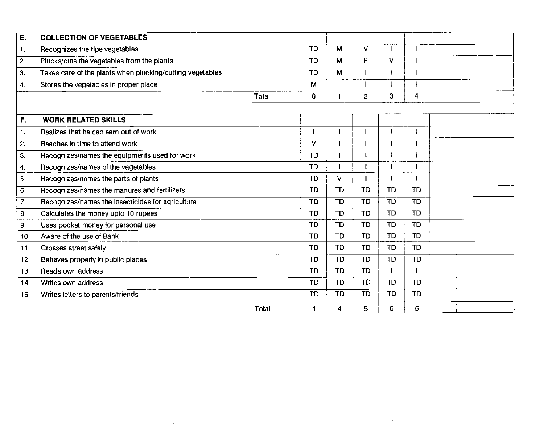| E.                  | <b>COLLECTION OF VEGETABLES</b>                           |                 |           |                          |           |                  |  |
|---------------------|-----------------------------------------------------------|-----------------|-----------|--------------------------|-----------|------------------|--|
| Н.                  | Recognizes the ripe vegetables                            | $\overline{ID}$ | M         | $\overline{\mathsf{v}}$  |           |                  |  |
| $\overline{2}$ .    | Plucks/cuts the vegetables from the plants                | TD              | M         | P                        | V         |                  |  |
| 3.                  | Takes care of the plants when plucking/cutting vegetables | <b>TD</b>       | M         |                          |           |                  |  |
| $\ddot{\mathbf{4}}$ | Stores the vegetables in proper place                     | M               |           |                          |           |                  |  |
|                     | Total                                                     | 0               |           | $\overline{2}$           | 3         | $\boldsymbol{4}$ |  |
| F.                  | <b>WORK RELATED SKILLS</b>                                |                 |           |                          |           |                  |  |
| $\mathbf{1}$ .      | Realizes that he can earn out of work                     |                 |           |                          |           |                  |  |
| $\overline{2}$ .    | Reaches in time to attend work                            | V               |           |                          |           |                  |  |
| 3.                  | Recognizes/names the equipments used for work             | TD              |           |                          |           |                  |  |
| 4.                  | Recognizes/names of the vagetables                        | TD              |           |                          |           |                  |  |
| 5.                  | Recognizes/names the parts of plants                      | <b>TD</b>       | V         |                          |           |                  |  |
| $\overline{6}$      | Recognizes/names the manures and fertilizers              | $\overline{TD}$ | TD        | $\overline{\texttt{TD}}$ | TD        | TD               |  |
| $\overline{7}$ .    | Recognizes/names the insecticides for agriculture         | TD              | <b>TD</b> | <b>TD</b>                | <b>TD</b> | TD               |  |
| 8.                  | Calculates the money upto 10 rupees                       | TD              | <b>TD</b> | TD.                      | TD        | TD               |  |
| 9.                  | Uses pocket money for personal use                        | TD              | <b>TD</b> | <b>TD</b>                | <b>TD</b> | TD               |  |
| 10.                 | Aware of the use of Bank                                  | TD              | TD        | TD.                      | <b>TD</b> | <b>TD</b>        |  |
| 11.                 | Crosses street safely                                     | TD              | <b>TD</b> | <b>TD</b>                | <b>TD</b> | TD               |  |
| 12.                 | Behaves properly in public places                         | TD              | TD        | <b>TD</b>                | <b>TD</b> | TD               |  |
| 13.                 | Reads own address                                         | TD              | TD        | $\overline{1}$           |           |                  |  |
| 14.                 | Writes own address                                        | <b>TD</b>       | <b>TD</b> | <b>TD</b>                | <b>TD</b> | <b>TD</b>        |  |
| 15.                 | Writes letters to parents/friends                         | TD              | TD        | TD.                      | TD        | TD               |  |
|                     | Total                                                     |                 | Λ         | 5                        | 6         | 6                |  |

 $\mathcal{L}^{\mathcal{L}}(\mathcal{L}^{\mathcal{L}})$  and  $\mathcal{L}^{\mathcal{L}}(\mathcal{L}^{\mathcal{L}})$  and  $\mathcal{L}^{\mathcal{L}}(\mathcal{L}^{\mathcal{L}})$ 

 $\mathcal{O}(2\pi\log n)$  , where  $\mathcal{O}(2\pi\log n)$ 

 $\sim 1000$ 

 $\label{eq:2.1} \mathcal{L}(\mathcal{L}^{\text{max}}_{\mathcal{L}}(\mathcal{L}^{\text{max}}_{\mathcal{L}}(\mathcal{L}^{\text{max}}_{\mathcal{L}}(\mathcal{L}^{\text{max}}_{\mathcal{L}^{\text{max}}_{\mathcal{L}}}))))$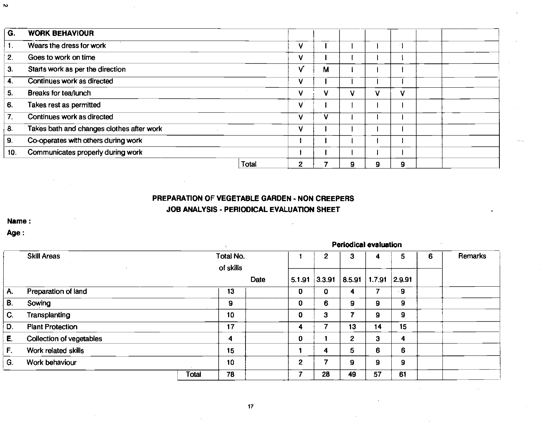| G.  | <b>WORK BEHAVIOUR</b>                     |       |                |   |   |   |   |  |  |
|-----|-------------------------------------------|-------|----------------|---|---|---|---|--|--|
| 1.  | Wears the dress for work                  |       | v              |   |   |   |   |  |  |
| 2.  | Goes to work on time                      |       | v              |   |   |   |   |  |  |
| 3.  | Starts work as per the direction          |       | V              | М |   |   |   |  |  |
| 4.  | Continues work as directed                |       | v              |   |   |   |   |  |  |
| 5.  | Breaks for tea/lunch                      |       | v              | ٧ | v | v | v |  |  |
| 6.  | Takes rest as permitted                   |       | v              |   |   |   |   |  |  |
| 7.  | Continues work as directed                |       | v              | ٧ |   |   |   |  |  |
| 8.  | Takes bath and changes clothes after work |       | v              |   |   |   |   |  |  |
| 9.  | Co-operates with others during work       |       |                |   |   |   |   |  |  |
| 10. | Communicates properly during work         |       |                |   |   |   |   |  |  |
|     |                                           | Total | $\overline{2}$ | 7 | 9 | 9 | 9 |  |  |

# PREPARATION OF VEGETABLE GARDEN - NON CREEPERS JOB ANALYSIS - PERIODICAL EVALUATION SHEET

Periodical evaluation

Name:

Age:

|    |                          | Periodical evaluation |                        |      |              |               |                |               |     |   |         |  |
|----|--------------------------|-----------------------|------------------------|------|--------------|---------------|----------------|---------------|-----|---|---------|--|
|    | <b>Skill Areas</b>       |                       | Total No.<br>of skills |      |              | 2             | 3              | 4             | 5   | 6 | Remarks |  |
|    |                          |                       |                        | Date | 5.1.91       | 3.3.91 8.5.91 |                | 1.7.91 2.9.91 |     |   |         |  |
| Α. | Preparation of land      |                       | 13                     |      | 0            | 0             | 4              |               | - 9 |   |         |  |
| В. | Sowing                   |                       | 9                      |      | 0            | 6             | 9              | 9             | 9   |   |         |  |
| C. | <b>Transplanting</b>     |                       | 10                     |      | 0            | 3             |                | 9             | 9   |   |         |  |
| D. | <b>Plant Protection</b>  |                       | 17                     |      | 4            |               | 13             | 14            | 15  |   |         |  |
| Е. | Collection of vegetables |                       | 4                      |      | 0            |               | $\overline{2}$ | 3             | 4   |   |         |  |
| F. | Work related skills      |                       | 15                     |      |              | 4             | 5              | 6             | 6   |   |         |  |
| G. | Work behaviour           |                       | 10                     |      | $\mathbf{2}$ |               | 9              | 9             | 9   |   |         |  |
|    |                          | Total                 | 78                     |      |              | 28            | 49             | 57            | 61  |   |         |  |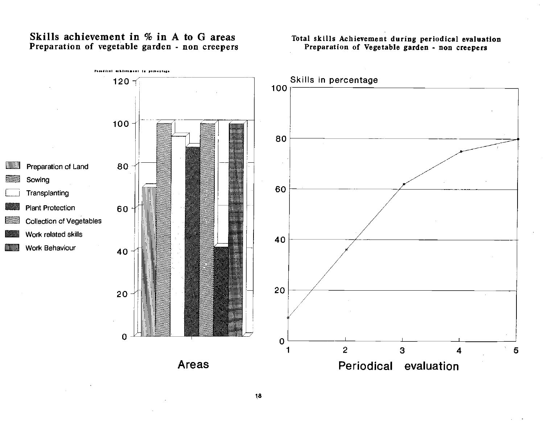# Skills achievement in  $%$  in A to G areas Preparation of vegetable garden - non creepers

#### Total skills Achievement during periodical evaluation Preparation of Vegetable garden - non creepers



18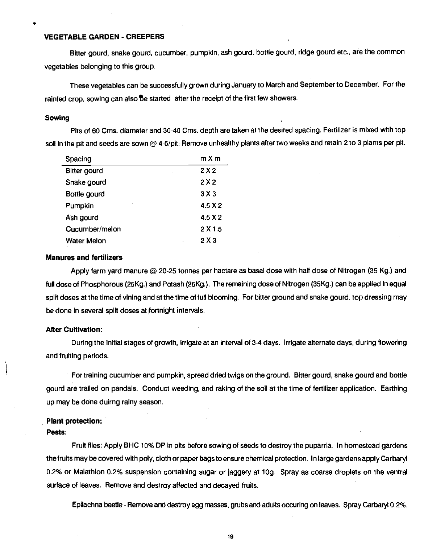#### <span id="page-18-0"></span>VEGETABLE GARDEN - CREEPERS

Bitter gourd, snake gourd, cucumber, pumpkin, ash gourd, bottle gourd, ridge gourd etc., are the common vegetables belonging to this group.

These vegetables can be successfully grown during January to March and September to December. For the rainfed crop, sowing can also be started after the receipt of the first few showers.

#### Sowing

Pits of 60 Cms. diameter and 30-40 Cms. depth are taken at the desired spacing. Fertilizer is mixed with top soil in the pit and seeds are sown @ 4-5/pit. Remove unhealthy plants after two weeks and retain 2 to 3 plants per pit.

| Spacing             | mXm            |
|---------------------|----------------|
| <b>Bitter gourd</b> | 2X2            |
| Snake gourd         | 2X2            |
| Bottle gourd        | 3X3            |
| Pumpkin             | 45X2           |
| Ash gourd           | 45 X 2         |
| Cucumber/melon      | $2 \times 1.5$ |
| <b>Water Melon</b>  | 2X3            |

#### Manures and fertilizers

Apply farm yard manure @ 20-25 tonnes per hactare as basal dose with half dose of Nitrogen (35 Kg.) and full dose of Phosphorous (25Kg.) and Potash (25Kg.). The remaining dose of Nitrogen (35Kg.) can be applied in equal split doses at the time of vining and at the time of full blooming. For bitter ground and snake gourd, top dressing may be done in several split doses at fortnight intervals.

#### After Cultivation:

During the initial stages of growth, irrigate at an interval of 3-4 days. Irrigate alternate days, during flowering and fruiting periods.

For training cucumber and pumpkin, spread dried twigs on the ground. Bitter gourd, snake gourd and bottle gourd are trailed on pandals. Conduct weeding, and raking of the soil at the time of fertilizer application. Earthing up may be done duirng rainy season.

#### Plant protection:

#### Pests:

Fruit flies: Apply BHC 10% DP in pits before sowing of seeds to destroy the puparria. In homestead gardens thefruits may be covered with poly, cloth or paper bagsto ensure chemical protection. In large gardens apply Carbaryl 0.2% or Malathion 0.2% suspension containing sugar or jaggery at log. Spray as coarse droplets on the ventral surface of leaves. Remove and destroy affected and decayed fruits.

Epilachna beetle - Remove and destroy egg masses, grubs and adults occuring on leaves. Spray Carbar4 0.2%.

19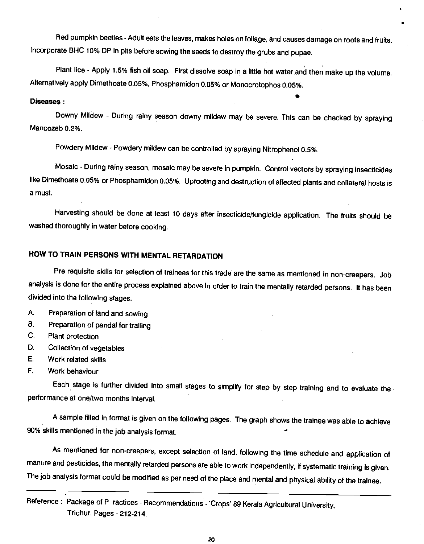Red pumpkin beetles - Adult eats the leaves, makes holes on foliage, and causes damage on roots and fruits. Incorporate BHC 10% DP in pits before sowing the seeds to destroy the grubs and pupae.

Plant lice - Apply 1.5% fish oil soap. First dissolve soap in a little hot water and then make up the volume. Alternatively apply Dimethoate 0.05%, Phosphamidon 0.05% or Monocrotophos 0.05%.

**State Control** 

#### Diseases:

Downy Mildew - During rainy season downy mildew may be severe. This can be checked by spraying Mancozeb 0.2%.

Powdery Mildew - Powdery mildew can be controlled by spraying Nitrophenol 0.5%.

Mosaic - During rainy season, mosaic may be severe in pumpkin. Control vectors by spraying insecticides like Dimethoate 0.05% or Phosphamidon 0.05%. Uprooting and destruction of affected plants and collateral hosts is a must.

Harvesting should be done at least 10 days after insecticide/fungicide application. The fruits should be washed thoroughly in water before cooking.

# HOW TO TRAIN PERSONS WITH MENTAL RETARDATION

Pre requisite skills for selection of trainees for this trade are the same as mentioned in non-creepers. Job analysis is done for the entire process explained above in order to train the mentally retarded persons. It has been divided into the following stages.

A. Preparation of land and sowing

- B. Preparation of pandal for trailing
- C. Plant protection
- 0. Collection of vegetables
- E. Work related skills
- F. Work behaviour

Each stage is further divided into small stages to simplify for step by step training and to evaluate the performance at one/two months interval.

A sample filled in format is given on the following pages. The graph shows the trainee was able to achieve 90% skills mentioned in the job analysis format.

As mentioned for non-creepers, except selection of land, following the time schedule and application of manure and pesticides, the mentally retarded persons are able to work independently, if systematic training is given. The job analysis format could be modified as per need of the place and mental and physical ability of the trainee.

Reference: Package of P ractices - Recommendations - 'Crops' 89 Kerala Agricultural University, Trichur. Pages - 212-214.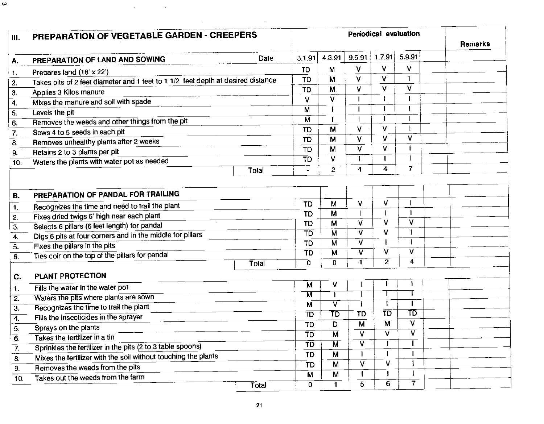| PREPARATION OF VEGETABLE GARDEN - CREEPERS                                       |       |                          |                                  | <b>Remarks</b>          |                         |                         |  |
|----------------------------------------------------------------------------------|-------|--------------------------|----------------------------------|-------------------------|-------------------------|-------------------------|--|
| PREPARATION OF LAND AND SOWING                                                   | Date  | 3.1.91                   | 4.3.91                           | $9.5.91$ 1.7.91         |                         | 5.9.91                  |  |
| Prepares land (18' x 22')                                                        |       | <b>TD</b>                | M                                | V                       | V.                      | $\vee$                  |  |
| Takes pits of 2 feet diameter and 1 feet to 1 1/2 feet depth at desired distance |       | TD                       | M                                | $\vee$                  | V                       |                         |  |
| Applies 3 Kilos manure                                                           |       | <b>TD</b>                | M                                | v                       | V                       | $\vee$                  |  |
| Mixes the manure and soil with spade                                             |       | V                        | V                                |                         | $\mathbf{I}$            |                         |  |
| Levels the pit                                                                   |       | M                        |                                  |                         |                         |                         |  |
| Removes the weeds and other things from the pit                                  |       | M                        | $\overline{\phantom{a}}$         |                         | J.                      |                         |  |
| Sows 4 to 5 seeds in each pit                                                    |       | TD                       | M                                | V                       | V                       |                         |  |
| Removes unhealthy plants after 2 weeks                                           |       | <b>TD</b>                | M                                | $\vee$                  | $\vee$                  | v                       |  |
| Retains 2 to 3 plants per pit                                                    |       | $\overline{TD}$          | M                                | V                       | V                       |                         |  |
| Waters the plants with water pot as needed                                       |       | $\overline{\text{TD}}$   | $\overline{\mathsf{v}}$          |                         | п                       |                         |  |
|                                                                                  | Total |                          | $\mathbf{2}$                     | 4                       | 4                       | $\overline{7}$          |  |
| PREPARATION OF PANDAL FOR TRAILING                                               |       |                          |                                  |                         |                         |                         |  |
| Recognizes the time and need to trail the plant                                  |       | <b>TD</b>                | M                                | V                       | v                       |                         |  |
| Fixes dried twigs 6' high near each plant                                        |       | <b>TD</b>                | M                                | $\mathbf{I}$            |                         |                         |  |
| Selects 6 pillars (6 feet length) for pandal                                     |       | $\overline{ID}$          | $\overline{M}$                   | ⊽                       | V                       | $\vee$                  |  |
| Digs 6 pits at four corners and in the middle for pillars                        |       | $\overline{\texttt{TD}}$ | $\overline{\mathsf{M}}$          | $\overline{\mathsf{v}}$ | v                       |                         |  |
| Fixes the pillars in the pits                                                    |       | $\overline{10}$          | $\overline{M}$                   | $\overline{\mathsf{v}}$ |                         |                         |  |
| Ties coir on the top of the pillars for pandal                                   |       | TD                       | M                                | $\overline{\mathsf{v}}$ | $\overline{\mathsf{v}}$ | v                       |  |
|                                                                                  | Total | $\mathbf{0}$             | $\overline{0}$                   | $\overline{1}$          | $\overline{2}$          | 4                       |  |
| PLANT PROTECTION                                                                 |       |                          |                                  |                         |                         |                         |  |
| Fills the water in the water pot                                                 |       | М                        | V                                |                         |                         |                         |  |
| Waters the pits where plants are sown                                            |       | М                        |                                  |                         |                         |                         |  |
| Recognizes the time to trail the plant                                           |       | $\overline{\mathsf{M}}$  | $\overline{\mathsf{v}}$          |                         | $\overline{\text{TD}}$  | $\mathbf{I}$<br>TD      |  |
| Fills the insecticides in the sprayer                                            |       | $\overline{\text{TD}}$   | $\overline{\sf \text{T}}{\sf D}$ | $\overline{ID}$         |                         | V                       |  |
| Sprays on the plants                                                             |       | <b>TD</b>                | D                                | $\overline{\mathsf{M}}$ | M                       | $\overline{\mathsf{v}}$ |  |
| Takes the fertilizer in a tin                                                    |       | $\overline{\texttt{TD}}$ | $\overline{\mathsf{M}}$          | $\overline{\mathsf{v}}$ | V                       |                         |  |
| Sprinkles the fertilizer in the pits (2 to 3 table spoons)                       |       | $\overline{1}D$          | $\overline{M}$                   | $\overline{\mathsf{v}}$ |                         |                         |  |
| Mixes the fertilizer with the soil without touching the plants                   |       | <b>TD</b>                | M                                | $\mathbf{I}$            |                         |                         |  |
| Removes the weeds from the pits                                                  |       | <b>TD</b>                | M                                | $\overline{\mathsf{v}}$ | V                       |                         |  |
| Takes out the weeds from the farm                                                |       | M                        | M                                | $\mathbf{I}$            |                         |                         |  |
|                                                                                  | Total | 0                        | $\blacksquare$                   | 5                       | $\overline{6}$          | $\overline{\tau}$       |  |

 $\boldsymbol{\omega}$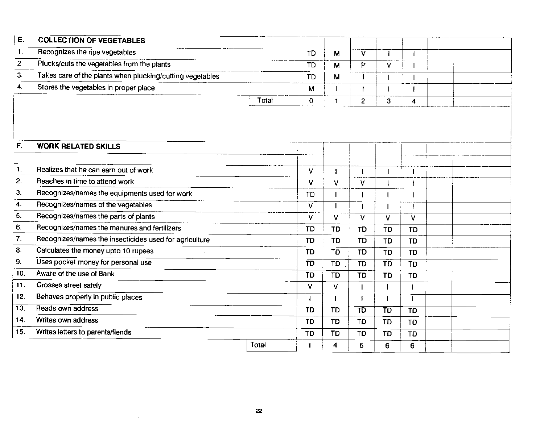| Ε.                 | <b>COLLECTION OF VEGETABLES</b>                           |       |                 |                |                          |                 |                 |  |
|--------------------|-----------------------------------------------------------|-------|-----------------|----------------|--------------------------|-----------------|-----------------|--|
| $\mathbf{1}$ .     | Recognizes the ripe vegetables                            |       | <b>TD</b>       | M              | V                        | -1              |                 |  |
| 2.                 | Plucks/cuts the vegetables from the plants                |       | <b>TD</b>       | M              | P                        | v               |                 |  |
| 3.                 | Takes care of the plants when plucking/cutting vegetables |       | <b>TD</b>       | M              |                          |                 |                 |  |
| 4.                 | Stores the vegetables in proper place                     |       | M               |                |                          |                 |                 |  |
|                    |                                                           | Total | $\mathbf 0$     | $\blacksquare$ | $\overline{2}$           | 3               | 4               |  |
| F.                 | <b>WORK RELATED SKILLS</b>                                |       |                 |                |                          |                 |                 |  |
| $\mathbf{1}$ .     | Realizes that he can earn out of work                     |       | V               |                |                          |                 |                 |  |
| 2.                 | Reaches in time to attend work                            |       | v               | v              | V                        |                 |                 |  |
| 3.                 | Recognizes/names the equipments used for work             |       | <b>TD</b>       |                |                          |                 |                 |  |
| $\boldsymbol{4}$ . | Recognizes/names of the vegetables                        |       | V               |                |                          |                 |                 |  |
| 5.                 | Recognizes/names the parts of plants                      |       | V               | v              | v                        | v               | v               |  |
| 6.                 | Recognizes/names the manures and fertilizers              |       | TD              | <b>TD</b>      | <b>TD</b>                | <b>TD</b>       | <b>TD</b>       |  |
| $\overline{7}$ .   | Recognizes/names the insecticides used for agriculture    |       | TD              | TD             | <b>TD</b>                | <b>TD</b>       | <b>TD</b>       |  |
| 8.                 | Calculates the money upto 10 rupees                       |       | TD              | TD             | <b>TD</b>                | TD              | TD              |  |
| 9.                 | Uses pocket money for personal use                        |       | TD              | <b>TD</b>      | <b>TD</b>                | <b>TD</b>       | $\overline{1}$  |  |
| 10.                | Aware of the use of Bank                                  |       | TD              | <b>TD</b>      | TD                       | <b>TD</b>       | <b>TD</b>       |  |
| 11.                | Crosses street safely                                     |       | v               | V              |                          |                 |                 |  |
| 12.                | Behaves property in public places                         |       |                 |                |                          |                 |                 |  |
| $\overline{13}$ .  | Reads own address                                         |       | $\overline{1}D$ | <b>TD</b>      | $\overline{\texttt{TD}}$ | $\overline{1}D$ | $\overline{1}D$ |  |
| 14.                | Writes own address                                        |       | <b>TD</b>       | <b>TD</b>      | TD                       | <b>TD</b>       | <b>TD</b>       |  |
| 15.                | Writes letters to parents/fiends                          |       | <b>TD</b>       | TD             | TD                       | <b>TD</b>       | TD              |  |
|                    |                                                           | Total | 1               | 4              | 5                        | 6               | 6               |  |

÷.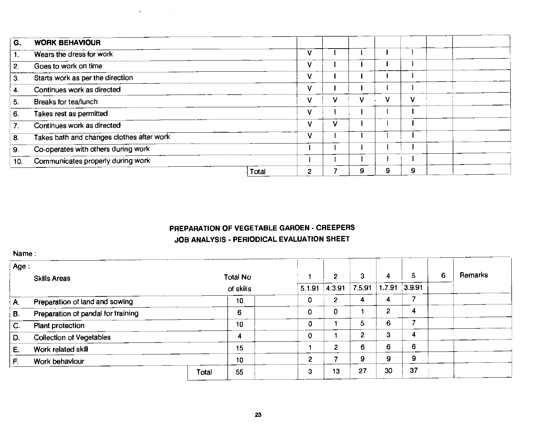| G.  | <b>WORK BEHAVIOUR</b>                     |       |   |   |   |   |  |  |
|-----|-------------------------------------------|-------|---|---|---|---|--|--|
|     | Wears the dress for work                  |       |   |   |   |   |  |  |
| 2.  | Goes to work on time                      |       |   |   |   |   |  |  |
| 3.  | Starts work as per the direction          |       |   |   |   |   |  |  |
| 4.  | Continues work as directed                |       |   |   |   |   |  |  |
| 5.  | Breaks for tea/lunch                      |       |   | v | v |   |  |  |
| 6.  | Takes rest as permitted                   |       |   |   |   |   |  |  |
|     | Continues work as directed                |       | v |   |   |   |  |  |
| 8.  | Takes bath and changes clothes after work |       | v |   |   |   |  |  |
| 9.  | Co-operates with others during work       |       |   |   |   |   |  |  |
| 10. | Communicates properly during work         |       |   |   |   |   |  |  |
|     |                                           | Total | 2 |   | 9 | 9 |  |  |

and a strategic control of

# PREPARATION OF VEGETABLE GARDEN - CREEPERS JOB ANALYSIS - PERIODICAL EVALUATION SHEET

Name:

| Age: |                                    |           |          |                |              |        |                 |    |   |         |
|------|------------------------------------|-----------|----------|----------------|--------------|--------|-----------------|----|---|---------|
|      | <b>Skills Areas</b>                |           | Total No |                | 2            | з      | 4               | 5  | 6 | Remarks |
|      |                                    | of skills |          | 5.1.91         | 4,3.91       | 7.5.91 | $1.7.91$ 3.9.91 |    |   |         |
| A.   | Preparation of land and sowing     |           | 10       | 0              | $\mathbf{2}$ | 4      | 4               |    |   |         |
| В.   | Preparation of pandal for training |           | 6        | 0              | 0            |        | 2               | 4  |   |         |
| C.   | Plant protection                   |           | 10       | 0              |              | 5      | 6               |    |   |         |
| D.   | <b>Collection of Vegetables</b>    |           | 4        | 0              |              | 2      | З               | 4  |   |         |
| E.   | Work related skill                 |           | 15       |                | 2            | 6      | 6               | 6  |   |         |
| F.   | Work behaviour                     |           | 10       | $\overline{2}$ |              | 9      | 9               | 9  |   |         |
|      |                                    | Total     | 55       | 3              | 13           | 27     | 30              | 37 |   |         |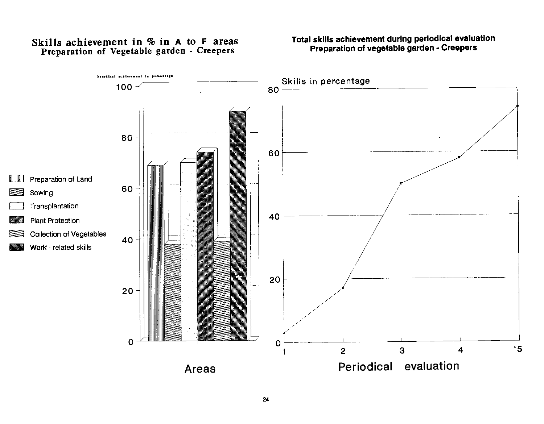# Skills achievement in % in A to F areas Preparation of Vegetable garden - Creepers

# Total skills achievement during periodical evaluation Preparation of vegetable garden - Creepers

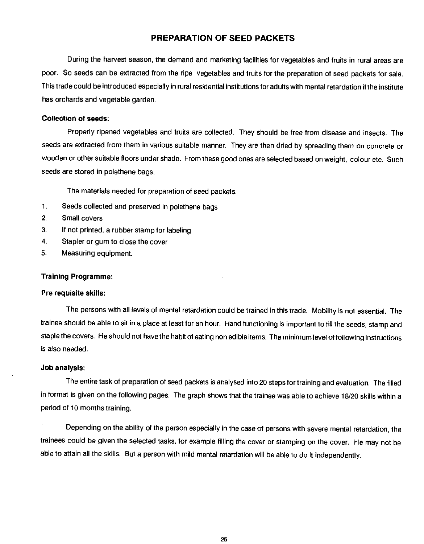#### PREPARATION OF SEED PACKETS

<span id="page-24-0"></span>During the harvest season, the demand and marketing facilities for vegetables and fruits in rural areas are poor. So seeds can be extracted from the ripe vegetables and fruits for the preparation of seed packets for sale. This trade could be introduced especially in rural residential institutions for adults with mental retardation if the institute has orchards and vegetable garden.

#### Collection of seeds:

Properly ripened vegetables and fruits are collected. They should be free from disease and insects. The seeds are extracted from them in various suitable manner, They are then dried by spreading them on concrete or wooden or other suitable floors under shade. From these good ones are selected based on weight, colour etc. Such seeds are stored in polethene bags.

The materials needed for preparation of seed packets:

- 1. Seeds collected and preserved in polethene bags
- 2. Small covers
- 3. If not printed, a rubber stamp for labeling
- 4. Stapler or gum to close the cover
- 5. Measuring equipment.

#### Training Programme:

#### Pre requisite skills:

The persons with all levels of mental retardation could be trained in this trade. Mobility is not essential. The trainee should be able to sit in a place at least for an hour. Hand functioning is important to fill the seeds, stamp and staple the covers. He should not have the habit of eating non edible items. The minimum level of following instructions is also needed.

#### Job analysis:

The entire task of preparation of seed packets is analysed into 20 steps for training and evaluation. The filled in format is given on the following pages. The graph shows that the trainee was able to achieve 18/20 skills within a period of 10 months training.

Depending on the ability of the person especially in the case of persons with severe mental retardation, the trainees could be given the selected tasks, for example filling the cover or stamping on the cover. He may not be able to attain all the skills. But a person with mild mental retardation will be able to do it independently.